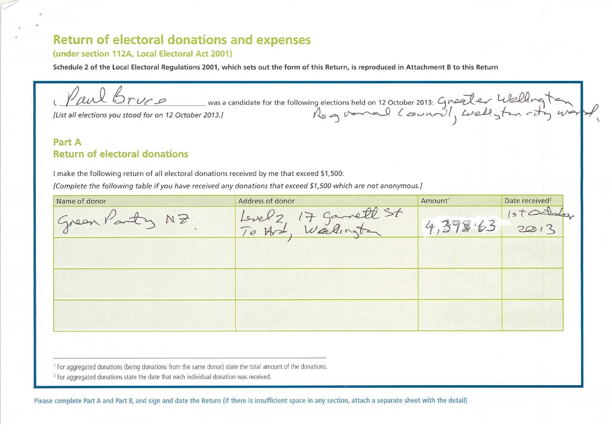# **Return of electoral donations and expenses**

#### **(under section 112A, Local Electoral Act 2001)**

**Schedule 2 of the Local Electoral Regulations 2001, which sets out the form of this Return, is reproduced in Attachment B to this Return** 

I, Paul bruce was a candidate for the following elections held on 12 October 2013: Gneater Welling ten

*[List all elections you stood for on 12 October 2013.]* 

### **Part A Return of electoral donations**

I make the following return of all electoral donations received by me that exceed \$1,500:

*donations that exceed \$1,500 which are not anonymous.] [Complete the following table if you have received any* 

| Name of donor | Address of donor                    | Amount <sup>1</sup> | Date received <sup>2</sup> |
|---------------|-------------------------------------|---------------------|----------------------------|
| NZ<br>Green   | Samett St<br>7 <sup>o</sup><br>Leve |                     | s                          |
|               | Wallington<br>To Had                | , 398.63            | 2013                       |
|               |                                     |                     |                            |
|               |                                     |                     |                            |
|               |                                     |                     |                            |
|               |                                     |                     |                            |
|               |                                     |                     |                            |
|               |                                     |                     |                            |

governal (ouna), wellyter -ty was *)* 

' For aggregated donations (being donations from the same donor) state the total amount of the donations.

<sup>2</sup> For aggregated donations state the date that each individual donation was received.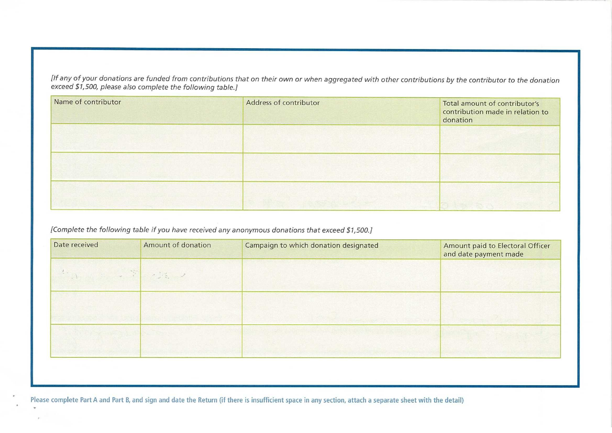*[If any of your donations are funded from contributions that on their own or when aggregated with other contributions by the contributor to the donation exceed \$1,500, please also complete the following table.]* 

| Name of contributor | Address of contributor | Total amount of contributor's<br>contribution made in relation to<br>donation |
|---------------------|------------------------|-------------------------------------------------------------------------------|
|                     |                        |                                                                               |
|                     |                        |                                                                               |
|                     |                        |                                                                               |

*[Complete the following table if you have received any anonymous donations that exceed \$1,500.]* 

| Date received | Amount of donation | Campaign to which donation designated | Amount paid to Electoral Officer<br>and date payment made |
|---------------|--------------------|---------------------------------------|-----------------------------------------------------------|
|               |                    |                                       |                                                           |
|               |                    |                                       |                                                           |
|               |                    |                                       |                                                           |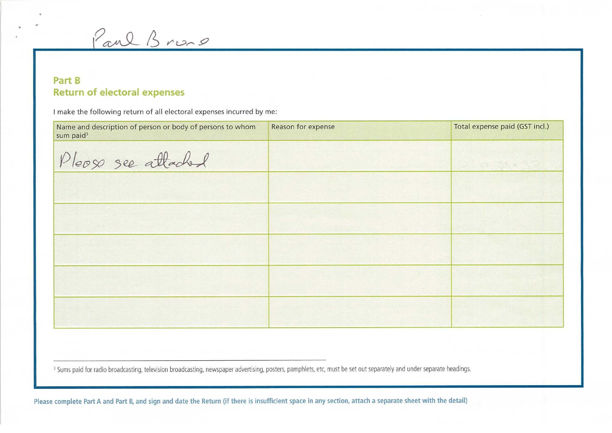Paul Brono

## **Part B Return of electoral expenses**

I make the following return of all electoral expenses incurred by me:

| Name and description of person or body of persons to whom<br>sum paid <sup>3</sup> | Reason for expense | Total expense paid (GST incl.) |
|------------------------------------------------------------------------------------|--------------------|--------------------------------|
| Please see attached                                                                |                    |                                |
|                                                                                    |                    |                                |
|                                                                                    |                    |                                |
|                                                                                    |                    |                                |
|                                                                                    |                    |                                |
|                                                                                    |                    |                                |

<sup>3</sup> Sums paid for radio broadcasting, television broadcasting, newspaper advertising, posters, pamphlets, etc, must be set out separately and under separate headings.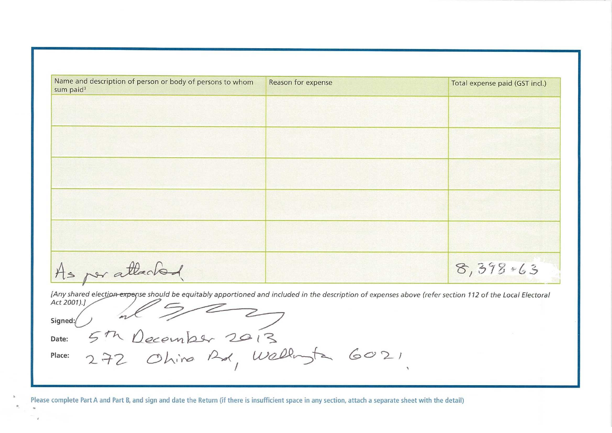| Name and description of person or body of persons to whom<br>sum paid <sup>3</sup>                                                                       | Reason for expense | Total expense paid (GST incl.) |
|----------------------------------------------------------------------------------------------------------------------------------------------------------|--------------------|--------------------------------|
|                                                                                                                                                          |                    |                                |
|                                                                                                                                                          |                    |                                |
|                                                                                                                                                          |                    |                                |
|                                                                                                                                                          |                    |                                |
|                                                                                                                                                          |                    |                                |
|                                                                                                                                                          |                    |                                |
|                                                                                                                                                          |                    |                                |
|                                                                                                                                                          |                    |                                |
|                                                                                                                                                          |                    |                                |
|                                                                                                                                                          |                    |                                |
|                                                                                                                                                          |                    |                                |
| As per attached                                                                                                                                          |                    | 8,398,463                      |
| [Any shared election-expense should be equitably apportioned and included in the description of expenses above (refer section 112 of the Local Electoral |                    |                                |

**Signed** 

**Date:** 

Place: 272 Ohing Rd, Wellingta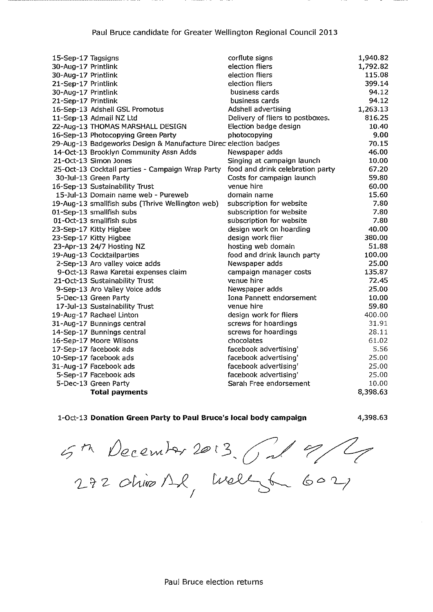| 15-Sep-17 Tagsigns  |                                                                 | corflute signs                   | 1,940.82 |
|---------------------|-----------------------------------------------------------------|----------------------------------|----------|
| 30-Aug-17 Printlink |                                                                 | election fliers                  | 1,792.82 |
| 30-Aug-17 Printlink |                                                                 | election fliers                  | 115.08   |
| 21-Sep-17 Printlink |                                                                 | election fliers                  | 399.14   |
| 30-Aug-17 Printlink |                                                                 | business cards                   | 94.12    |
| 21-Sep-17 Printlink |                                                                 | business cards                   | 94.12    |
|                     | 16-Sep-13 Adshell GSL Promotus                                  | Adshell advertising              | 1,263.13 |
|                     | 11-Sep-13 Admail NZ Ltd                                         | Delivery of fliers to postboxes. | 816.25   |
|                     | 22-Aug-13 THOMAS MARSHALL DESIGN                                | Election badge design            | 10.40    |
|                     | 16-Sep-13 Photocopying Green Party                              | photocopying                     | 9.00     |
|                     | 29-Aug-13 Badgeworks Design & Manufacture Direc election badges |                                  | 70.15    |
|                     | 14-Oct-13 Brooklyn Community Assn Adds                          | Newspaper adds                   | 46.00    |
|                     | 21-Oct-13 Simon Jones                                           | Singing at campaign launch       | 10.00    |
|                     | 25-Oct-13 Cocktail parties - Campaign Wrap Party                | food and drink celebration party | 67.20    |
|                     | 30-Jul-13 Green Party                                           | Costs for campaign launch        | 59.80    |
|                     | 16-Sep-13 Sustainability Trust                                  | venue hire                       | 60.00    |
|                     | 15-Jul-13 Domain name web - Pureweb                             | domain name                      | 15.60    |
|                     | 19-Aug-13 smallfish subs (Thrive Wellington web)                | subscription for website         | 7.80     |
|                     | 01-Sep-13 smallfish subs                                        | subscription for website         | 7.80     |
|                     | 01-Oct-13 smallfish subs                                        | subscription for website         | 7.80     |
|                     | 23-Sep-17 Kitty Higbee                                          | design work on hoarding          | 40.00    |
|                     | 23-Sep-17 Kitty Higbee                                          | design work flier                | 380.00   |
|                     | 23-Apr-13 24/7 Hosting NZ                                       | hosting web domain               | 51.88    |
|                     | 19-Aug-13 Cocktailparties                                       | food and drink launch party      | 100,00   |
|                     | 2-Sep-13 Aro valley voice adds                                  | Newspaper adds                   | 25.00    |
|                     | 9-Oct-13 Rawa Karetai expenses claim                            | campaign manager costs           | 135.87   |
|                     | 21-Oct-13 Sustainability Trust                                  | venue hire                       | 72.45    |
|                     | 9-Sep-13 Aro Valley Voice adds                                  | Newspaper adds                   | 25.00    |
|                     | 5-Dec-13 Green Party                                            | Iona Pannett endorsement         | 10.00    |
|                     | 17-Jul-13 Sustainability Trust                                  | venue hire                       | 59.80    |
|                     | 19-Aug-17 Rachael Linton                                        | design work for fliers           | 400.00   |
|                     | 31-Aug-17 Bunnings central                                      | screws for hoardings             | 31.91    |
|                     | 14-Sep-17 Bunnings central                                      | screws for hoardings             | 28.11    |
|                     | 16-Sep-17 Moore Wilsons                                         | chocolates                       | 61.02    |
|                     | 17-Sep-17 facebook ads                                          | facebook advertising'            | 5.56     |
|                     | 10-Sep-17 facebook ads                                          | facebook advertising'            | 25.00    |
|                     | 31-Aug-17 Facebook ads                                          | facebook advertising'            | 25.00    |
|                     | 5-Sep-17 Facebook ads                                           | facebook advertising'            | 25,00    |
|                     | 5-Dec-13 Green Party                                            | Sarah Free endorsement           | 10.00    |
|                     | <b>Total payments</b>                                           |                                  | 8,398.63 |

#### 1-Oct-13 **Donation Green Party to Paul Bruce's local body campaign**

4,398.63

5th December 2013, Onl 9/2<br>272 Ohios Al, Wellyt 6021